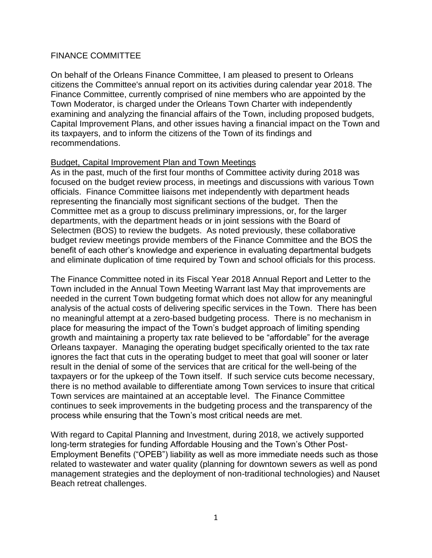# FINANCE COMMITTEE

On behalf of the Orleans Finance Committee, I am pleased to present to Orleans citizens the Committee's annual report on its activities during calendar year 2018. The Finance Committee, currently comprised of nine members who are appointed by the Town Moderator, is charged under the Orleans Town Charter with independently examining and analyzing the financial affairs of the Town, including proposed budgets, Capital Improvement Plans, and other issues having a financial impact on the Town and its taxpayers, and to inform the citizens of the Town of its findings and recommendations.

## Budget, Capital Improvement Plan and Town Meetings

As in the past, much of the first four months of Committee activity during 2018 was focused on the budget review process, in meetings and discussions with various Town officials. Finance Committee liaisons met independently with department heads representing the financially most significant sections of the budget. Then the Committee met as a group to discuss preliminary impressions, or, for the larger departments, with the department heads or in joint sessions with the Board of Selectmen (BOS) to review the budgets. As noted previously, these collaborative budget review meetings provide members of the Finance Committee and the BOS the benefit of each other's knowledge and experience in evaluating departmental budgets and eliminate duplication of time required by Town and school officials for this process.

The Finance Committee noted in its Fiscal Year 2018 Annual Report and Letter to the Town included in the Annual Town Meeting Warrant last May that improvements are needed in the current Town budgeting format which does not allow for any meaningful analysis of the actual costs of delivering specific services in the Town. There has been no meaningful attempt at a zero-based budgeting process. There is no mechanism in place for measuring the impact of the Town's budget approach of limiting spending growth and maintaining a property tax rate believed to be "affordable" for the average Orleans taxpayer. Managing the operating budget specifically oriented to the tax rate ignores the fact that cuts in the operating budget to meet that goal will sooner or later result in the denial of some of the services that are critical for the well-being of the taxpayers or for the upkeep of the Town itself. If such service cuts become necessary, there is no method available to differentiate among Town services to insure that critical Town services are maintained at an acceptable level. The Finance Committee continues to seek improvements in the budgeting process and the transparency of the process while ensuring that the Town's most critical needs are met.

With regard to Capital Planning and Investment, during 2018, we actively supported long-term strategies for funding Affordable Housing and the Town's Other Post-Employment Benefits ("OPEB") liability as well as more immediate needs such as those related to wastewater and water quality (planning for downtown sewers as well as pond management strategies and the deployment of non-traditional technologies) and Nauset Beach retreat challenges.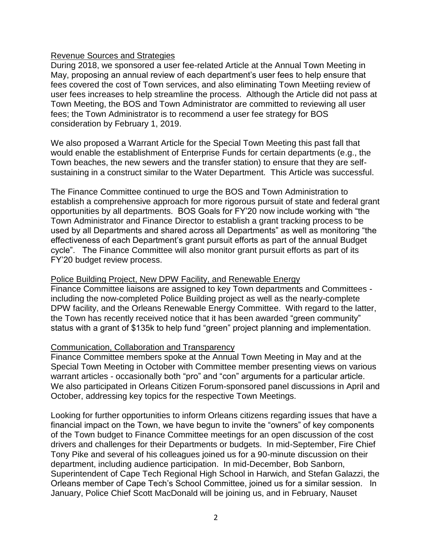## Revenue Sources and Strategies

During 2018, we sponsored a user fee-related Article at the Annual Town Meeting in May, proposing an annual review of each department's user fees to help ensure that fees covered the cost of Town services, and also eliminating Town Meetiing review of user fees increases to help streamline the process. Although the Article did not pass at Town Meeting, the BOS and Town Administrator are committed to reviewing all user fees; the Town Administrator is to recommend a user fee strategy for BOS consideration by February 1, 2019.

We also proposed a Warrant Article for the Special Town Meeting this past fall that would enable the establishment of Enterprise Funds for certain departments (e.g., the Town beaches, the new sewers and the transfer station) to ensure that they are selfsustaining in a construct similar to the Water Department. This Article was successful.

The Finance Committee continued to urge the BOS and Town Administration to establish a comprehensive approach for more rigorous pursuit of state and federal grant opportunities by all departments. BOS Goals for FY'20 now include working with "the Town Administrator and Finance Director to establish a grant tracking process to be used by all Departments and shared across all Departments" as well as monitoring "the effectiveness of each Department's grant pursuit efforts as part of the annual Budget cycle". The Finance Committee will also monitor grant pursuit efforts as part of its FY'20 budget review process.

### Police Building Project, New DPW Facility, and Renewable Energy

Finance Committee liaisons are assigned to key Town departments and Committees including the now-completed Police Building project as well as the nearly-complete DPW facility, and the Orleans Renewable Energy Committee. With regard to the latter, the Town has recently received notice that it has been awarded "green community" status with a grant of \$135k to help fund "green" project planning and implementation.

### Communication, Collaboration and Transparency

Finance Committee members spoke at the Annual Town Meeting in May and at the Special Town Meeting in October with Committee member presenting views on various warrant articles - occasionally both "pro" and "con" arguments for a particular article. We also participated in Orleans Citizen Forum-sponsored panel discussions in April and October, addressing key topics for the respective Town Meetings.

Looking for further opportunities to inform Orleans citizens regarding issues that have a financial impact on the Town, we have begun to invite the "owners" of key components of the Town budget to Finance Committee meetings for an open discussion of the cost drivers and challenges for their Departments or budgets. In mid-September, Fire Chief Tony Pike and several of his colleagues joined us for a 90-minute discussion on their department, including audience participation. In mid-December, Bob Sanborn, Superintendent of Cape Tech Regional High School in Harwich, and Stefan Galazzi, the Orleans member of Cape Tech's School Committee, joined us for a similar session. In January, Police Chief Scott MacDonald will be joining us, and in February, Nauset